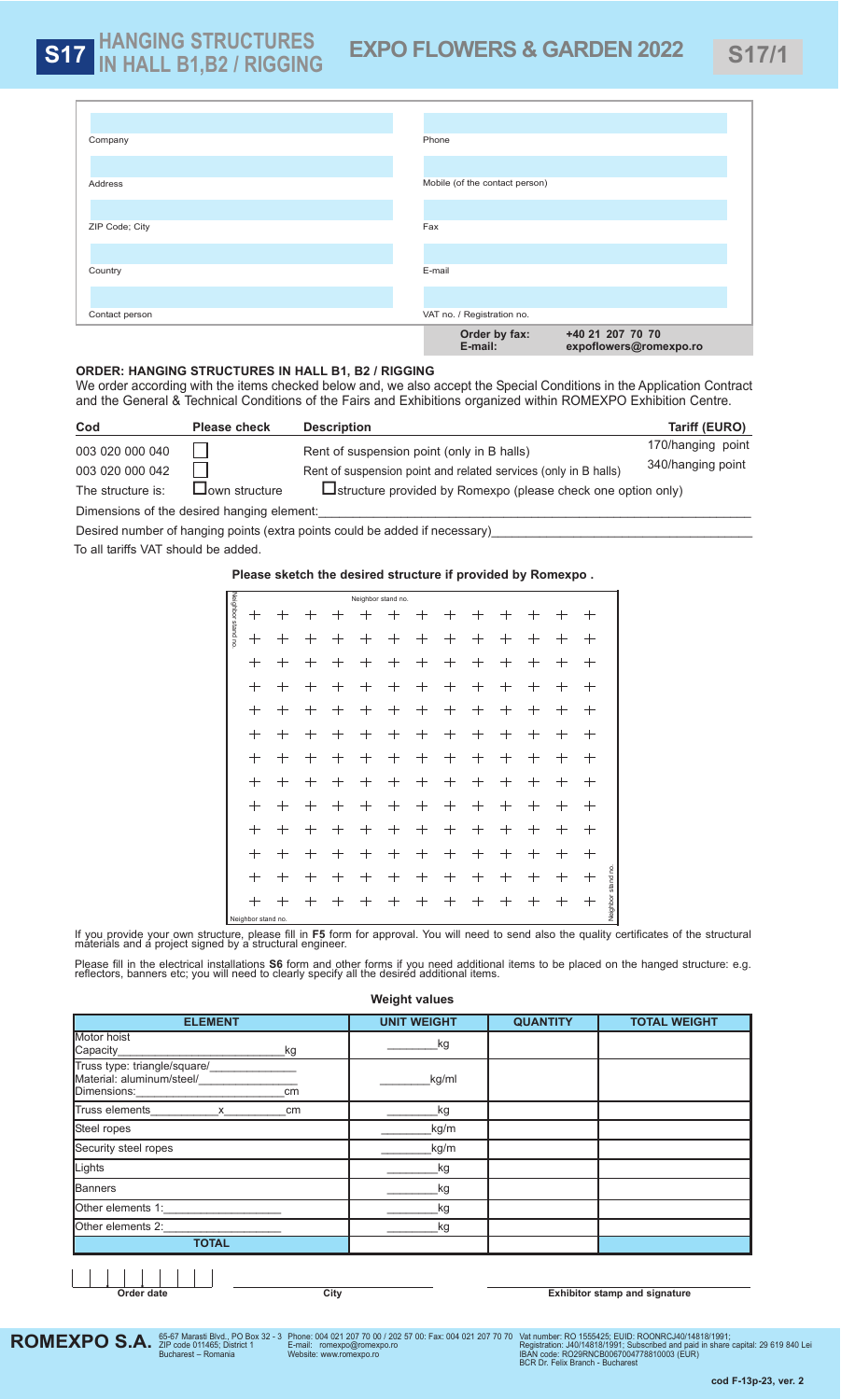# **ORDER: HAnGInG STRuCTuRES In HALL B1, B2 / RIGGInG**

We order according with the items checked below and, we also accept the Special Conditions in the Application Contract and the General & Technical Conditions of the Fairs and Exhibitions organized within ROMEXPO Exhibition Centre.

To all tariffs VAT should be added.

| Cod                                        | <b>Please check</b>                                                                                                          | <b>Description</b>                                              | Tariff (EURO)     |  |  |  |  |  |  |
|--------------------------------------------|------------------------------------------------------------------------------------------------------------------------------|-----------------------------------------------------------------|-------------------|--|--|--|--|--|--|
| 003 020 000 040                            |                                                                                                                              | Rent of suspension point (only in B halls)                      | 170/hanging point |  |  |  |  |  |  |
| 003 020 000 042                            |                                                                                                                              | Rent of suspension point and related services (only in B halls) | 340/hanging point |  |  |  |  |  |  |
| The structure is:                          | $\mathrel{\mathsf{\mathsf{J}}}\mathsf{own}$ structure<br>$\Box$ structure provided by Romexpo (please check one option only) |                                                                 |                   |  |  |  |  |  |  |
| Dimensions of the desired hanging element: |                                                                                                                              |                                                                 |                   |  |  |  |  |  |  |

Desired number of hanging points (extra points could be added if necessary)

**ROMEXPO S.A.** *S*5-67 Marasti Blvd., PO Box 32 - 3<br>Bucharest – Romania Vat number: RO 1555425; EUID: ROONRCJ40/14818/1991;<br>Registration: J40/14818/1991; Subscribed and paid in share capital: 29 619 840 Lei<br>IBAN code: RO29RNCB0067004778810003 (EUR)<br>BCR Dr. Felix Branch - Bucharest Phone: 004 021 207 70 00 / 202 57 00: Fax: 004 021 207 70 70 E-mail: romexpo@romexpo.ro Website: www.romexpo.ro

|                   |                                 |                    |                    |                    | Neighbor stand no. |                    |                                  |                                   |                    |                    |                                 |                                  |                    |                    |
|-------------------|---------------------------------|--------------------|--------------------|--------------------|--------------------|--------------------|----------------------------------|-----------------------------------|--------------------|--------------------|---------------------------------|----------------------------------|--------------------|--------------------|
|                   |                                 |                    |                    |                    |                    |                    |                                  |                                   |                    |                    |                                 |                                  |                    |                    |
|                   | $\hspace{0.1mm} +$              | $^{+}$             | $\hspace{0.1mm} +$ | $^{+}$             | $^{+}$             | $^{+}$             | $^{+}$                           | $^{+}$                            | $^{+}$             | $\pm$              | $^+$                            | $^{+}$                           | $^{+}$             |                    |
| Neighbor stand no | $\hspace{0.1mm} +$              | $\hspace{0.1mm} +$ | $\pm$              | $^+$               | $\hspace{0.1mm} +$ | $^+$               | $^+$                             | $\hspace{0.1mm} +$                | $\hspace{0.1mm} +$ | $\hspace{0.1mm} +$ | $\hspace{0.1mm} +$              | $\hspace{0.1mm} +$               | $^+$               |                    |
|                   | $\hspace{.1cm} + \hspace{.1cm}$ | $^{+}$             | $\hspace{0.1mm} +$ | $^{+}$             | $^{+}$             | $\hspace{0.1mm} +$ | $^{+}$                           | $\hspace{0.1mm} +$                | $^{+}$             | $^{+}$             | $\hspace{0.1mm} +$              | $^{+}$                           | $\hspace{0.1mm} +$ |                    |
|                   | $^+$                            | $^+$               | $^+$               | $^+$               | $^+$               | $^+$               | $^+$                             | $\hspace{0.1mm} +\hspace{0.1mm}$  | $^+$               | $\pm$              | $^+$                            | $^+$                             | $^+$               |                    |
|                   | $\pm$                           | $^{+}$             | $^{+}$             | $^{+}$             | $^{+}$             | $\pm$              | $^{+}$                           | $^{+}$                            | $^{+}$             | $^{+}$             | $\hspace{0.1mm} +$              | $^{+}$                           | $\hspace{.1cm} +$  |                    |
|                   | $^+$                            | $\hspace{0.1mm} +$ | $\pm$              | $^+$               | $\hspace{0.1mm} +$ | $^+$               | $\hspace{0.1mm} +\hspace{0.1mm}$ | $\hspace{0.1mm} +\hspace{0.1mm}$  | $^{+}$             | $^+$               | $^+$                            | $^+$                             | $\pm$              |                    |
|                   | $\hspace{0.1mm} +$              | $^+$               | $\hspace{0.1mm} +$ | $^{+}$             | $\hspace{0.1mm} +$ | $^+$               | $\hspace{0.1mm} +$               | $\hspace{0.1mm} +$                | $\pm$              | $\hspace{0.1mm} +$ | $\hspace{0.1mm} +$              | $\hspace{0.1mm} +$               | $\hspace{0.1mm} +$ |                    |
|                   | $\hspace{0.1mm} +$              | $\hspace{0.1mm} +$ | $\hspace{0.1mm} +$ | $^{+}$             | $^{+}$             | $^{+}$             | $^{+}$                           | $\hspace{0.1mm} +$                | $^{+}$             | $\hspace{0.1mm} +$ | $\hspace{0.1mm} +$              | $\hspace{0.1mm} +$               | $\pm$              |                    |
|                   | $\hspace{0.1mm} +$              | $^+$               | $\pm$              | $\hspace{0.1mm} +$ | $\hspace{0.1mm} +$ | $\pm$              | $^{+}$                           | $\hspace{0.1mm} +$                | $\hspace{0.1mm} +$ | $\pm$              | $\hspace{.1cm} + \hspace{.1cm}$ | $\hspace{0.1mm} +\hspace{0.1mm}$ | $\pm$              |                    |
|                   | $\hspace{0.1mm} +$              | $^+$               | $^+$               | $^{+}$             | $\hspace{0.1mm} +$ | $^+$               | $\hspace{0.1mm} +$               | $\hspace{0.1mm} +$                | $^{+}$             | $\pm$              | $\hspace{0.1mm} +$              | $^+$                             | $^+$               |                    |
|                   | $^{+}$                          | $^{+}$             | $\hspace{0.1mm} +$ | $^{+}$             | $+$                | $^{+}$             | $^{+}$                           | $\hspace{0.1mm} + \hspace{0.1mm}$ | $^{+}$             | $\hspace{0.1mm} +$ | $\hspace{0.1mm} +$              | $^{+}$                           | $\pm$              |                    |
|                   | $\pm$                           | $^{+}$             | $\hspace{0.1mm} +$ | $\hspace{0.1mm} +$ | $\hspace{0.1mm} +$ | $\hspace{0.1mm} +$ | $^+$                             | $\hspace{0.1mm} +$                | $^{+}$             | $\hspace{0.1mm} +$ | $^+$                            | $^+$                             | $^{\mathrm{+}}$    |                    |
|                   | $^+$                            | $^+$               | $^+$               | $^+$               | $^+$               | $^+$               | $\hspace{0.1mm} +\hspace{0.1mm}$ | $^+$                              | $\pm$              | $\pm$              | $^+$                            | $^+$                             | $^+$               | Neighbor stand no. |
|                   | Neighbor stand no.              |                    |                    |                    |                    |                    |                                  |                                   |                    |                    |                                 |                                  |                    |                    |

If you provide your own structure, please fill in **F5** form for approval. You will need to send also the quality certificates of the structural<br>materials and a project signed by a structural engineer.

Please fill in the electrical installations S6 form and other forms if you need additional items to be placed on the hanged structure: e.g. reflectors, banners etc; you will need to clearly specify all the desired addition

## **Please sketch the desired structure if provided by Romexpo .**

|                | Order by fax:<br>+40 21 207 70 70<br>E-mail:<br>expoflowers@romexpo.ro |
|----------------|------------------------------------------------------------------------|
| Contact person | VAT no. / Registration no.                                             |
| Country        | E-mail                                                                 |
| ZIP Code; City | Fax                                                                    |
| Address        | Mobile (of the contact person)                                         |
| Company        | Phone                                                                  |
|                |                                                                        |

| <b>ELEMENT</b>                                                                 | <b>UNIT WEIGHT</b> | <b>QUANTITY</b> | <b>TOTAL WEIGHT</b>                  |  |  |  |  |
|--------------------------------------------------------------------------------|--------------------|-----------------|--------------------------------------|--|--|--|--|
| Motor hoist<br>Capacity<br>_kg                                                 | _kg                |                 |                                      |  |  |  |  |
| Truss type: triangle/square/_______________<br>Material: aluminum/steel/<br>cm | kg/ml              |                 |                                      |  |  |  |  |
| Truss elements______________x______<br>cm                                      | kg                 |                 |                                      |  |  |  |  |
| Steel ropes                                                                    | kg/m               |                 |                                      |  |  |  |  |
| Security steel ropes                                                           | kg/m               |                 |                                      |  |  |  |  |
| Lights                                                                         | kg                 |                 |                                      |  |  |  |  |
| <b>B</b> anners                                                                | _kg                |                 |                                      |  |  |  |  |
| Other elements 1: _____________________                                        | .kg                |                 |                                      |  |  |  |  |
| Other elements 2:                                                              | kg                 |                 |                                      |  |  |  |  |
| <b>TOTAL</b>                                                                   |                    |                 |                                      |  |  |  |  |
| Order date<br>City                                                             |                    |                 | <b>Exhibitor stamp and signature</b> |  |  |  |  |

**cod F-13p-23, ver. 2**

### **Weight values**